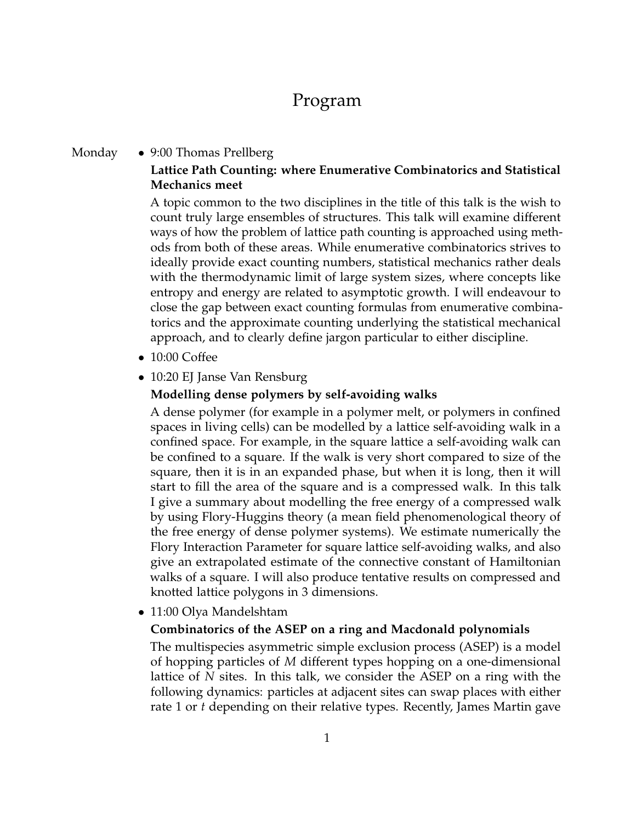# Program

### Monday • 9:00 Thomas Prellberg **Lattice Path Counting: where Enumerative Combinatorics and Statistical Mechanics meet**

A topic common to the two disciplines in the title of this talk is the wish to count truly large ensembles of structures. This talk will examine different ways of how the problem of lattice path counting is approached using methods from both of these areas. While enumerative combinatorics strives to ideally provide exact counting numbers, statistical mechanics rather deals with the thermodynamic limit of large system sizes, where concepts like entropy and energy are related to asymptotic growth. I will endeavour to close the gap between exact counting formulas from enumerative combinatorics and the approximate counting underlying the statistical mechanical approach, and to clearly define jargon particular to either discipline.

- 10:00 Coffee
- 10:20 EJ Janse Van Rensburg

#### **Modelling dense polymers by self-avoiding walks**

A dense polymer (for example in a polymer melt, or polymers in confined spaces in living cells) can be modelled by a lattice self-avoiding walk in a confined space. For example, in the square lattice a self-avoiding walk can be confined to a square. If the walk is very short compared to size of the square, then it is in an expanded phase, but when it is long, then it will start to fill the area of the square and is a compressed walk. In this talk I give a summary about modelling the free energy of a compressed walk by using Flory-Huggins theory (a mean field phenomenological theory of the free energy of dense polymer systems). We estimate numerically the Flory Interaction Parameter for square lattice self-avoiding walks, and also give an extrapolated estimate of the connective constant of Hamiltonian walks of a square. I will also produce tentative results on compressed and knotted lattice polygons in 3 dimensions.

• 11:00 Olya Mandelshtam

#### **Combinatorics of the ASEP on a ring and Macdonald polynomials**

The multispecies asymmetric simple exclusion process (ASEP) is a model of hopping particles of *M* different types hopping on a one-dimensional lattice of *N* sites. In this talk, we consider the ASEP on a ring with the following dynamics: particles at adjacent sites can swap places with either rate 1 or *t* depending on their relative types. Recently, James Martin gave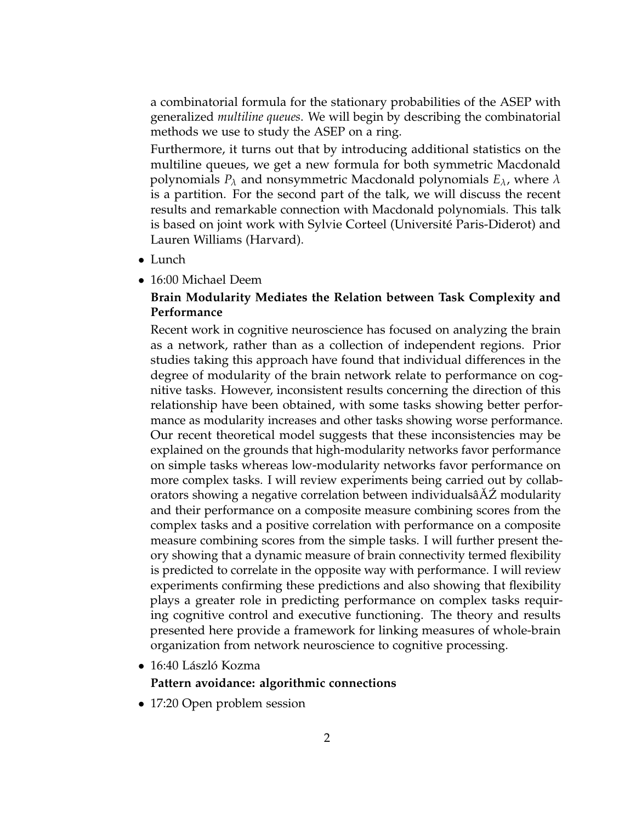a combinatorial formula for the stationary probabilities of the ASEP with generalized *multiline queues*. We will begin by describing the combinatorial methods we use to study the ASEP on a ring.

Furthermore, it turns out that by introducing additional statistics on the multiline queues, we get a new formula for both symmetric Macdonald polynomials *P<sup>λ</sup>* and nonsymmetric Macdonald polynomials *Eλ*, where *λ* is a partition. For the second part of the talk, we will discuss the recent results and remarkable connection with Macdonald polynomials. This talk is based on joint work with Sylvie Corteel (Université Paris-Diderot) and Lauren Williams (Harvard).

- Lunch
- 16:00 Michael Deem

### **Brain Modularity Mediates the Relation between Task Complexity and Performance**

Recent work in cognitive neuroscience has focused on analyzing the brain as a network, rather than as a collection of independent regions. Prior studies taking this approach have found that individual differences in the degree of modularity of the brain network relate to performance on cognitive tasks. However, inconsistent results concerning the direction of this relationship have been obtained, with some tasks showing better performance as modularity increases and other tasks showing worse performance. Our recent theoretical model suggests that these inconsistencies may be explained on the grounds that high-modularity networks favor performance on simple tasks whereas low-modularity networks favor performance on more complex tasks. I will review experiments being carried out by collaborators showing a negative correlation between individualsâAZ modularity and their performance on a composite measure combining scores from the complex tasks and a positive correlation with performance on a composite measure combining scores from the simple tasks. I will further present theory showing that a dynamic measure of brain connectivity termed flexibility is predicted to correlate in the opposite way with performance. I will review experiments confirming these predictions and also showing that flexibility plays a greater role in predicting performance on complex tasks requiring cognitive control and executive functioning. The theory and results presented here provide a framework for linking measures of whole-brain organization from network neuroscience to cognitive processing.

• 16:40 László Kozma

#### **Pattern avoidance: algorithmic connections**

• 17:20 Open problem session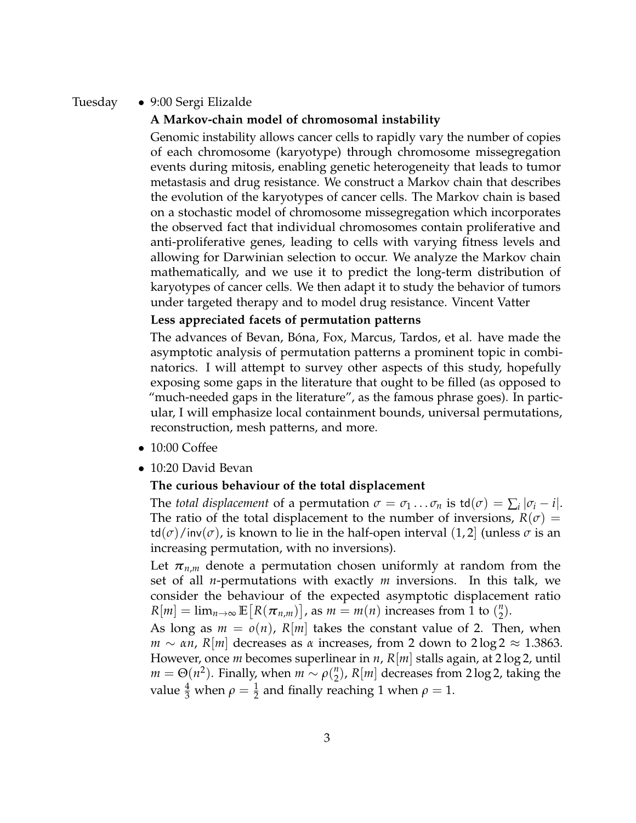#### Tuesday • 9:00 Sergi Elizalde

#### **A Markov-chain model of chromosomal instability**

Genomic instability allows cancer cells to rapidly vary the number of copies of each chromosome (karyotype) through chromosome missegregation events during mitosis, enabling genetic heterogeneity that leads to tumor metastasis and drug resistance. We construct a Markov chain that describes the evolution of the karyotypes of cancer cells. The Markov chain is based on a stochastic model of chromosome missegregation which incorporates the observed fact that individual chromosomes contain proliferative and anti-proliferative genes, leading to cells with varying fitness levels and allowing for Darwinian selection to occur. We analyze the Markov chain mathematically, and we use it to predict the long-term distribution of karyotypes of cancer cells. We then adapt it to study the behavior of tumors under targeted therapy and to model drug resistance. Vincent Vatter

#### **Less appreciated facets of permutation patterns**

The advances of Bevan, Bóna, Fox, Marcus, Tardos, et al. have made the asymptotic analysis of permutation patterns a prominent topic in combinatorics. I will attempt to survey other aspects of this study, hopefully exposing some gaps in the literature that ought to be filled (as opposed to "much-needed gaps in the literature", as the famous phrase goes). In particular, I will emphasize local containment bounds, universal permutations, reconstruction, mesh patterns, and more.

- 10:00 Coffee
- 10:20 David Bevan

#### **The curious behaviour of the total displacement**

The *total displacement* of a permutation  $\sigma = \sigma_1 \dots \sigma_n$  is  $\text{td}(\sigma) = \sum_i |\sigma_i - i|$ . The ratio of the total displacement to the number of inversions,  $R(\sigma)$  =  $\text{td}(\sigma)$ /inv $(\sigma)$ , is known to lie in the half-open interval (1,2) (unless  $\sigma$  is an increasing permutation, with no inversions).

Let  $\pi_{n,m}$  denote a permutation chosen uniformly at random from the set of all *n*-permutations with exactly *m* inversions. In this talk, we consider the behaviour of the expected asymptotic displacement ratio  $R[m] = \lim_{n \to \infty} \mathbb{E}[R(\pi_{n,m})]$ , as  $m = m(n)$  increases from 1 to  $\binom{n}{2}$  $\binom{n}{2}$ .

As long as  $m = o(n)$ ,  $R[m]$  takes the constant value of 2. Then, when *m* ∼ *αn*, *R*|*m*| decreases as *α* increases, from 2 down to 2 log 2 ≈ 1.3863. However, once *m* becomes superlinear in *n*, *R*[*m*] stalls again, at 2 log 2, until  $m = \Theta(n^2)$ . Finally, when  $m \sim \rho(\frac{n}{2})$  $\binom{n}{2}$ ,  $R[m]$  decreases from 2 log 2, taking the value  $\frac{4}{3}$  when  $\rho = \frac{1}{2}$  and finally reaching 1 when  $\rho = 1$ .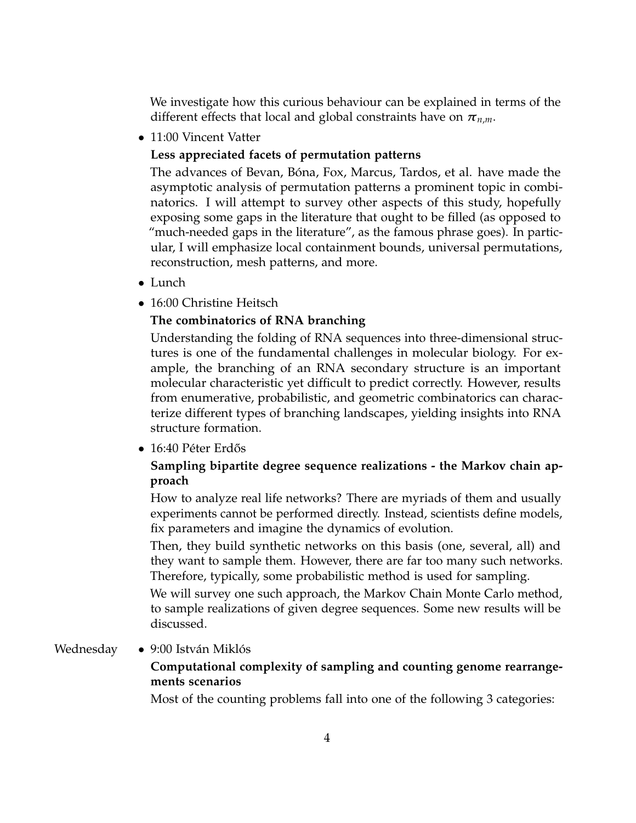We investigate how this curious behaviour can be explained in terms of the different effects that local and global constraints have on  $\pi_{n,m}$ .

• 11:00 Vincent Vatter

### **Less appreciated facets of permutation patterns**

The advances of Bevan, Bóna, Fox, Marcus, Tardos, et al. have made the asymptotic analysis of permutation patterns a prominent topic in combinatorics. I will attempt to survey other aspects of this study, hopefully exposing some gaps in the literature that ought to be filled (as opposed to "much-needed gaps in the literature", as the famous phrase goes). In particular, I will emphasize local containment bounds, universal permutations, reconstruction, mesh patterns, and more.

- Lunch
- 16:00 Christine Heitsch

### **The combinatorics of RNA branching**

Understanding the folding of RNA sequences into three-dimensional structures is one of the fundamental challenges in molecular biology. For example, the branching of an RNA secondary structure is an important molecular characteristic yet difficult to predict correctly. However, results from enumerative, probabilistic, and geometric combinatorics can characterize different types of branching landscapes, yielding insights into RNA structure formation.

• 16:40 Péter Erdős

### **Sampling bipartite degree sequence realizations - the Markov chain approach**

How to analyze real life networks? There are myriads of them and usually experiments cannot be performed directly. Instead, scientists define models, fix parameters and imagine the dynamics of evolution.

Then, they build synthetic networks on this basis (one, several, all) and they want to sample them. However, there are far too many such networks. Therefore, typically, some probabilistic method is used for sampling.

We will survey one such approach, the Markov Chain Monte Carlo method, to sample realizations of given degree sequences. Some new results will be discussed.

#### Wednesday • 9:00 István Miklós

### **Computational complexity of sampling and counting genome rearrangements scenarios**

Most of the counting problems fall into one of the following 3 categories: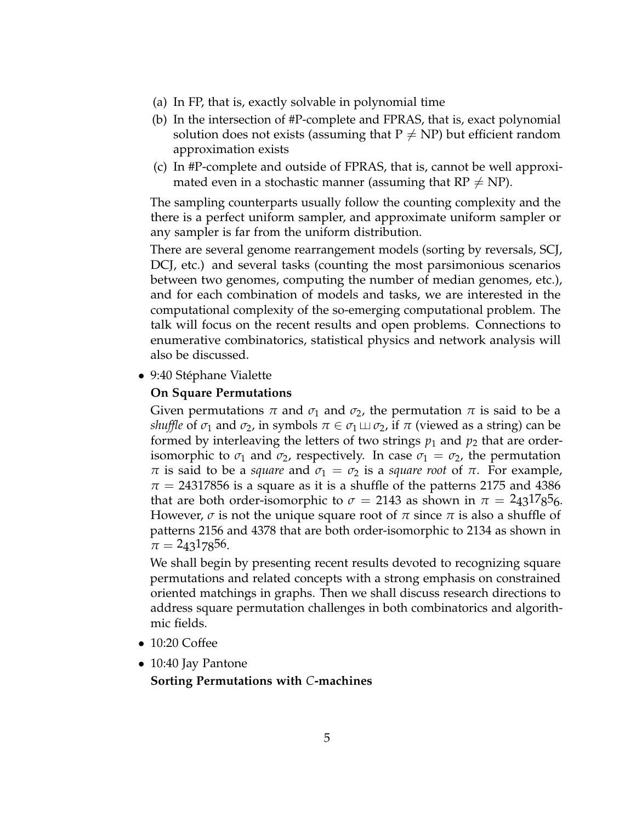- (a) In FP, that is, exactly solvable in polynomial time
- (b) In the intersection of #P-complete and FPRAS, that is, exact polynomial solution does not exists (assuming that  $P \neq NP$ ) but efficient random approximation exists
- (c) In #P-complete and outside of FPRAS, that is, cannot be well approximated even in a stochastic manner (assuming that  $RP \neq NP$ ).

The sampling counterparts usually follow the counting complexity and the there is a perfect uniform sampler, and approximate uniform sampler or any sampler is far from the uniform distribution.

There are several genome rearrangement models (sorting by reversals, SCJ, DCJ, etc.) and several tasks (counting the most parsimonious scenarios between two genomes, computing the number of median genomes, etc.), and for each combination of models and tasks, we are interested in the computational complexity of the so-emerging computational problem. The talk will focus on the recent results and open problems. Connections to enumerative combinatorics, statistical physics and network analysis will also be discussed.

• 9:40 Stéphane Vialette

#### **On Square Permutations**

Given permutations  $\pi$  and  $\sigma_1$  and  $\sigma_2$ , the permutation  $\pi$  is said to be a *shuffle* of  $\sigma_1$  and  $\sigma_2$ , in symbols  $\pi \in \sigma_1 \sqcup \sigma_2$ , if  $\pi$  (viewed as a string) can be formed by interleaving the letters of two strings  $p_1$  and  $p_2$  that are orderisomorphic to  $\sigma_1$  and  $\sigma_2$ , respectively. In case  $\sigma_1 = \sigma_2$ , the permutation *π* is said to be a *square* and  $σ<sub>1</sub> = σ<sub>2</sub>$  is a *square root* of *π*. For example,  $\pi$  = 24317856 is a square as it is a shuffle of the patterns 2175 and 4386 that are both order-isomorphic to  $\sigma = 2143$  as shown in  $\pi = 243^{17}8^{5}6$ . However, *σ* is not the unique square root of *π* since *π* is also a shuffle of patterns 2156 and 4378 that are both order-isomorphic to 2134 as shown in  $\pi = 24317856.$ 

We shall begin by presenting recent results devoted to recognizing square permutations and related concepts with a strong emphasis on constrained oriented matchings in graphs. Then we shall discuss research directions to address square permutation challenges in both combinatorics and algorithmic fields.

- 10:20 Coffee
- 10:40 Jay Pantone

**Sorting Permutations with** *C***-machines**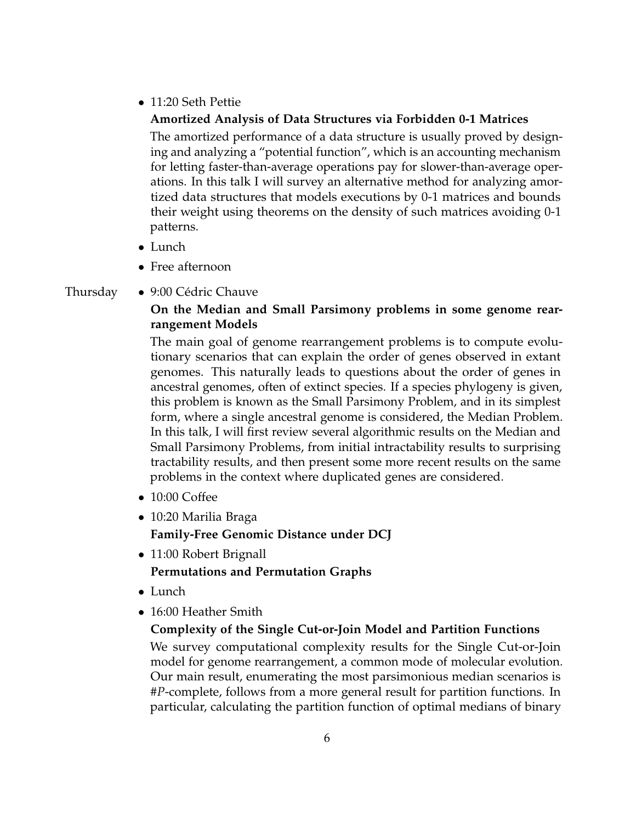• 11:20 Seth Pettie

### **Amortized Analysis of Data Structures via Forbidden 0-1 Matrices**

The amortized performance of a data structure is usually proved by designing and analyzing a "potential function", which is an accounting mechanism for letting faster-than-average operations pay for slower-than-average operations. In this talk I will survey an alternative method for analyzing amortized data structures that models executions by 0-1 matrices and bounds their weight using theorems on the density of such matrices avoiding 0-1 patterns.

- Lunch
- Free afternoon
- Thursday 9:00 Cédric Chauve

### **On the Median and Small Parsimony problems in some genome rearrangement Models**

The main goal of genome rearrangement problems is to compute evolutionary scenarios that can explain the order of genes observed in extant genomes. This naturally leads to questions about the order of genes in ancestral genomes, often of extinct species. If a species phylogeny is given, this problem is known as the Small Parsimony Problem, and in its simplest form, where a single ancestral genome is considered, the Median Problem. In this talk, I will first review several algorithmic results on the Median and Small Parsimony Problems, from initial intractability results to surprising tractability results, and then present some more recent results on the same problems in the context where duplicated genes are considered.

- 10:00 Coffee
- 10:20 Marilia Braga **Family-Free Genomic Distance under DCJ**
- 11:00 Robert Brignall **Permutations and Permutation Graphs**
- Lunch
- 16:00 Heather Smith

### **Complexity of the Single Cut-or-Join Model and Partition Functions**

We survey computational complexity results for the Single Cut-or-Join model for genome rearrangement, a common mode of molecular evolution. Our main result, enumerating the most parsimonious median scenarios is #*P*-complete, follows from a more general result for partition functions. In particular, calculating the partition function of optimal medians of binary